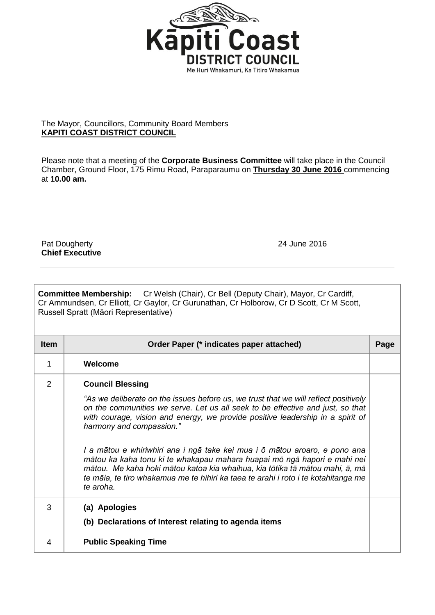

## The Mayor, Councillors, Community Board Members **KAPITI COAST DISTRICT COUNCIL**

Please note that a meeting of the **Corporate Business Committee** will take place in the Council Chamber, Ground Floor, 175 Rimu Road, Paraparaumu on **Thursday 30 June 2016** commencing at **10.00 am.**

Pat Dougherty 24 June 2016 **Chief Executive**

| <b>Committee Membership:</b> Cr Welsh (Chair), Cr Bell (Deputy Chair), Mayor, Cr Cardiff,<br>Cr Ammundsen, Cr Elliott, Cr Gaylor, Cr Gurunathan, Cr Holborow, Cr D Scott, Cr M Scott,<br>Russell Spratt (Māori Representative) |                                                                                                                                                                                                                                                                                                                                                                                                                                                                                                                                                                                                                                                             |      |  |
|--------------------------------------------------------------------------------------------------------------------------------------------------------------------------------------------------------------------------------|-------------------------------------------------------------------------------------------------------------------------------------------------------------------------------------------------------------------------------------------------------------------------------------------------------------------------------------------------------------------------------------------------------------------------------------------------------------------------------------------------------------------------------------------------------------------------------------------------------------------------------------------------------------|------|--|
| <b>Item</b>                                                                                                                                                                                                                    | Order Paper (* indicates paper attached)                                                                                                                                                                                                                                                                                                                                                                                                                                                                                                                                                                                                                    | Page |  |
| $\mathbf 1$                                                                                                                                                                                                                    | Welcome                                                                                                                                                                                                                                                                                                                                                                                                                                                                                                                                                                                                                                                     |      |  |
| $\overline{2}$                                                                                                                                                                                                                 | <b>Council Blessing</b><br>"As we deliberate on the issues before us, we trust that we will reflect positively<br>on the communities we serve. Let us all seek to be effective and just, so that<br>with courage, vision and energy, we provide positive leadership in a spirit of<br>harmony and compassion."<br>I a mātou e whiriwhiri ana i ngā take kei mua i ō mātou aroaro, e pono ana<br>mātou ka kaha tonu ki te whakapau mahara huapai mō ngā hapori e mahi nei<br>mātou. Me kaha hoki mātou katoa kia whaihua, kia tōtika tā mātou mahi, ā, mā<br>te māia, te tiro whakamua me te hihiri ka taea te arahi i roto i te kotahitanga me<br>te aroha. |      |  |
| 3                                                                                                                                                                                                                              | (a) Apologies<br>(b) Declarations of Interest relating to agenda items                                                                                                                                                                                                                                                                                                                                                                                                                                                                                                                                                                                      |      |  |
| 4                                                                                                                                                                                                                              | <b>Public Speaking Time</b>                                                                                                                                                                                                                                                                                                                                                                                                                                                                                                                                                                                                                                 |      |  |